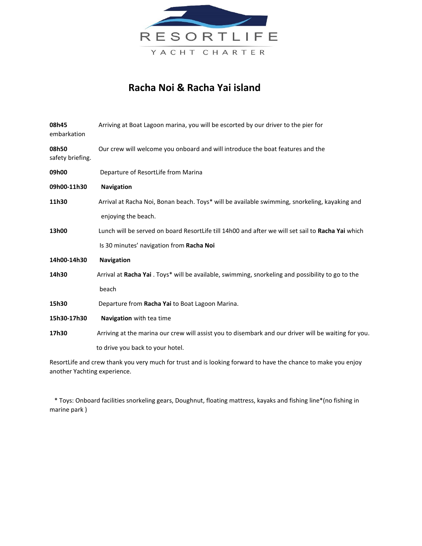

## **Racha Noi & Racha Yai island**

| 08h45<br>embarkation      | Arriving at Boat Lagoon marina, you will be escorted by our driver to the pier for                   |
|---------------------------|------------------------------------------------------------------------------------------------------|
| 08h50<br>safety briefing. | Our crew will welcome you onboard and will introduce the boat features and the                       |
| 09h00                     | Departure of ResortLife from Marina                                                                  |
| 09h00-11h30               | <b>Navigation</b>                                                                                    |
| 11h30                     | Arrival at Racha Noi, Bonan beach. Toys* will be available swimming, snorkeling, kayaking and        |
|                           | enjoying the beach.                                                                                  |
| 13h00                     | Lunch will be served on board ResortLife till 14h00 and after we will set sail to Racha Yai which    |
|                           | Is 30 minutes' navigation from Racha Noi                                                             |
| 14h00-14h30               | <b>Navigation</b>                                                                                    |
| 14h30                     | Arrival at Racha Yai . Toys* will be available, swimming, snorkeling and possibility to go to the    |
|                           | beach                                                                                                |
| 15h30                     | Departure from Racha Yai to Boat Lagoon Marina.                                                      |
| 15h30-17h30               | Navigation with tea time                                                                             |
| 17h30                     | Arriving at the marina our crew will assist you to disembark and our driver will be waiting for you. |
|                           | to drive you back to your hotel.                                                                     |
|                           |                                                                                                      |

ResortLife and crew thank you very much for trust and is looking forward to have the chance to make you enjoy another Yachting experience.

 \* Toys: Onboard facilities snorkeling gears, Doughnut, floating mattress, kayaks and fishing line\*(no fishing in marine park )